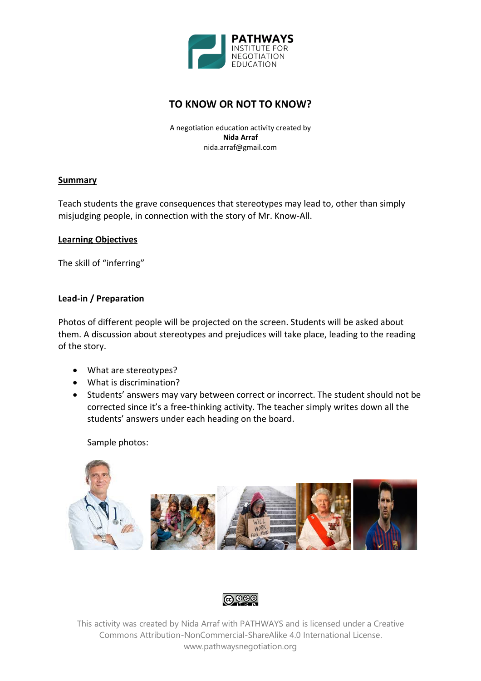

# **TO KNOW OR NOT TO KNOW?**

A negotiation education activity created by **Nida Arraf** nida.arraf@gmail.com

### **Summary**

Teach students the grave consequences that stereotypes may lead to, other than simply misjudging people, in connection with the story of Mr. Know-All.

#### **Learning Objectives**

The skill of "inferring"

### **Lead-in / Preparation**

Photos of different people will be projected on the screen. Students will be asked about them. A discussion about stereotypes and prejudices will take place, leading to the reading of the story.

- What are stereotypes?
- What is discrimination?
- Students' answers may vary between correct or incorrect. The student should not be corrected since it's a free-thinking activity. The teacher simply writes down all the students' answers under each heading on the board.

Sample photos:





This activity was created by Nida Arraf with PATHWAYS and is licensed under a Creative Commons Attribution-NonCommercial-ShareAlike 4.0 International License. www.pathwaysnegotiation.org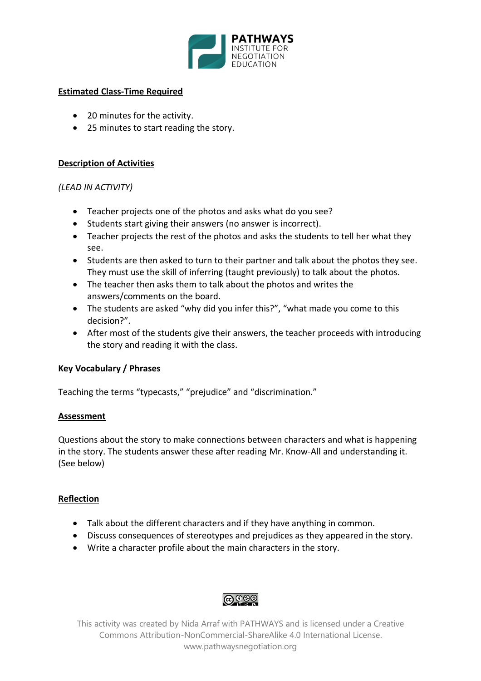

### **Estimated Class-Time Required**

- 20 minutes for the activity.
- 25 minutes to start reading the story.

## **Description of Activities**

# *(LEAD IN ACTIVITY)*

- Teacher projects one of the photos and asks what do you see?
- Students start giving their answers (no answer is incorrect).
- Teacher projects the rest of the photos and asks the students to tell her what they see.
- Students are then asked to turn to their partner and talk about the photos they see. They must use the skill of inferring (taught previously) to talk about the photos.
- The teacher then asks them to talk about the photos and writes the answers/comments on the board.
- The students are asked "why did you infer this?", "what made you come to this decision?".
- After most of the students give their answers, the teacher proceeds with introducing the story and reading it with the class.

### **Key Vocabulary / Phrases**

Teaching the terms "typecasts," "prejudice" and "discrimination."

### **Assessment**

Questions about the story to make connections between characters and what is happening in the story. The students answer these after reading Mr. Know-All and understanding it. (See below)

# **Reflection**

- Talk about the different characters and if they have anything in common.
- Discuss consequences of stereotypes and prejudices as they appeared in the story.
- Write a character profile about the main characters in the story.

# **@** ලෙ

This activity was created by Nida Arraf with PATHWAYS and is licensed under a Creative Commons Attribution-NonCommercial-ShareAlike 4.0 International License. www.pathwaysnegotiation.org